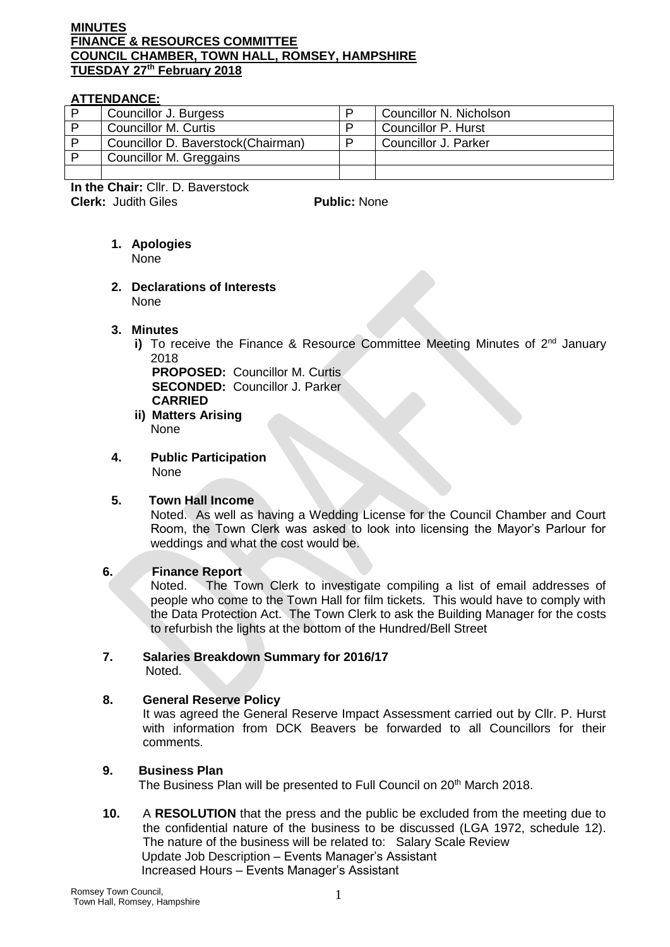#### **MINUTES FINANCE & RESOURCES COMMITTEE COUNCIL CHAMBER, TOWN HALL, ROMSEY, HAMPSHIRE TUESDAY 27th February 2018**

#### **ATTENDANCE:**

| Councillor J. Burgess               | Councillor N. Nicholson |
|-------------------------------------|-------------------------|
| Councillor M. Curtis                | Councillor P. Hurst     |
| Councillor D. Baverstock (Chairman) | Councillor J. Parker    |
| Councillor M. Greggains             |                         |
|                                     |                         |

**In the Chair:** Cllr. D. Baverstock **Clerk:** Judith Giles **Public: None** 

# **1. Apologies**

None

**2. Declarations of Interests**  None

# **3. Minutes**

i) To receive the Finance & Resource Committee Meeting Minutes of  $2<sup>nd</sup>$  January 2018

**PROPOSED:** Councillor M. Curtis **SECONDED:** Councillor J. Parker **CARRIED**

- **ii) Matters Arising** None
- **4. Public Participation** None

# **5. Town Hall Income**

Noted. As well as having a Wedding License for the Council Chamber and Court Room, the Town Clerk was asked to look into licensing the Mayor's Parlour for weddings and what the cost would be.

# **6. Finance Report**

Noted. The Town Clerk to investigate compiling a list of email addresses of people who come to the Town Hall for film tickets. This would have to comply with the Data Protection Act. The Town Clerk to ask the Building Manager for the costs to refurbish the lights at the bottom of the Hundred/Bell Street

#### **7. Salaries Breakdown Summary for 2016/17** Noted.

# **8. General Reserve Policy**

It was agreed the General Reserve Impact Assessment carried out by Cllr. P. Hurst with information from DCK Beavers be forwarded to all Councillors for their comments.

# **9. Business Plan**

The Business Plan will be presented to Full Council on 20<sup>th</sup> March 2018.

**10.** A **RESOLUTION** that the press and the public be excluded from the meeting due to the confidential nature of the business to be discussed (LGA 1972, schedule 12). The nature of the business will be related to: Salary Scale Review Update Job Description – Events Manager's Assistant Increased Hours – Events Manager's Assistant